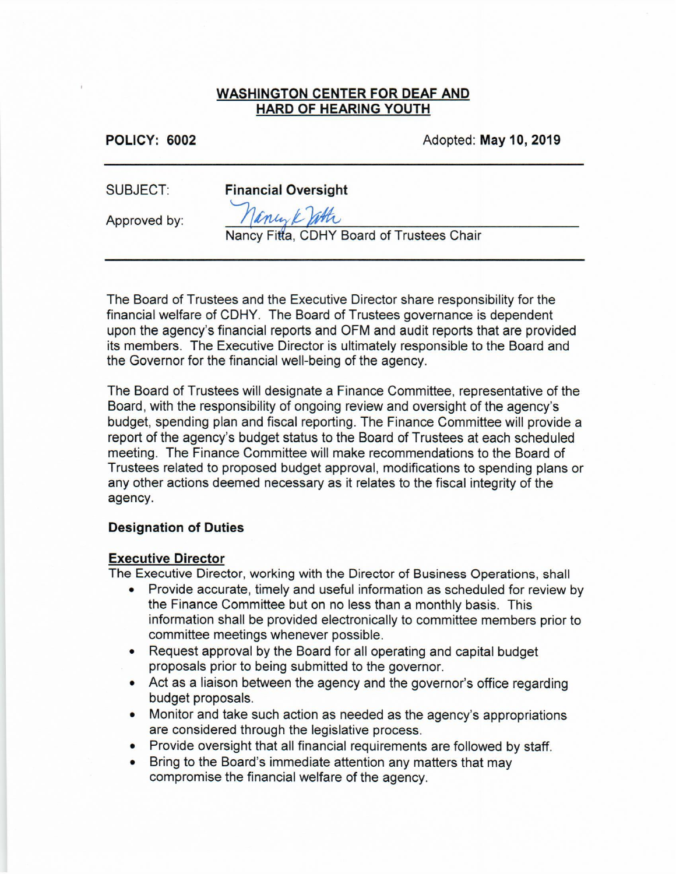#### **WASHINGTON CENTER FOR DEAF AND HARD OF HEARING YOUTH**

**POLICY: 6002** 

Adopted: May 10, 2019

**SUBJECT:** 

**Financial Oversight** 

Approved by:

Janey Kroth

Nancy Fitta, CDHY Board of Trustees Chair

The Board of Trustees and the Executive Director share responsibility for the financial welfare of CDHY. The Board of Trustees governance is dependent upon the agency's financial reports and OFM and audit reports that are provided its members. The Executive Director is ultimately responsible to the Board and the Governor for the financial well-being of the agency.

The Board of Trustees will designate a Finance Committee, representative of the Board, with the responsibility of ongoing review and oversight of the agency's budget, spending plan and fiscal reporting. The Finance Committee will provide a report of the agency's budget status to the Board of Trustees at each scheduled meeting. The Finance Committee will make recommendations to the Board of Trustees related to proposed budget approval, modifications to spending plans or any other actions deemed necessary as it relates to the fiscal integrity of the agency.

## **Designation of Duties**

## **Executive Director**

The Executive Director, working with the Director of Business Operations, shall

- Provide accurate, timely and useful information as scheduled for review by the Finance Committee but on no less than a monthly basis. This information shall be provided electronically to committee members prior to committee meetings whenever possible.
- Request approval by the Board for all operating and capital budget proposals prior to being submitted to the governor.
- Act as a liaison between the agency and the governor's office regarding budget proposals.
- Monitor and take such action as needed as the agency's appropriations are considered through the legislative process.
- Provide oversight that all financial requirements are followed by staff.
- Bring to the Board's immediate attention any matters that may compromise the financial welfare of the agency.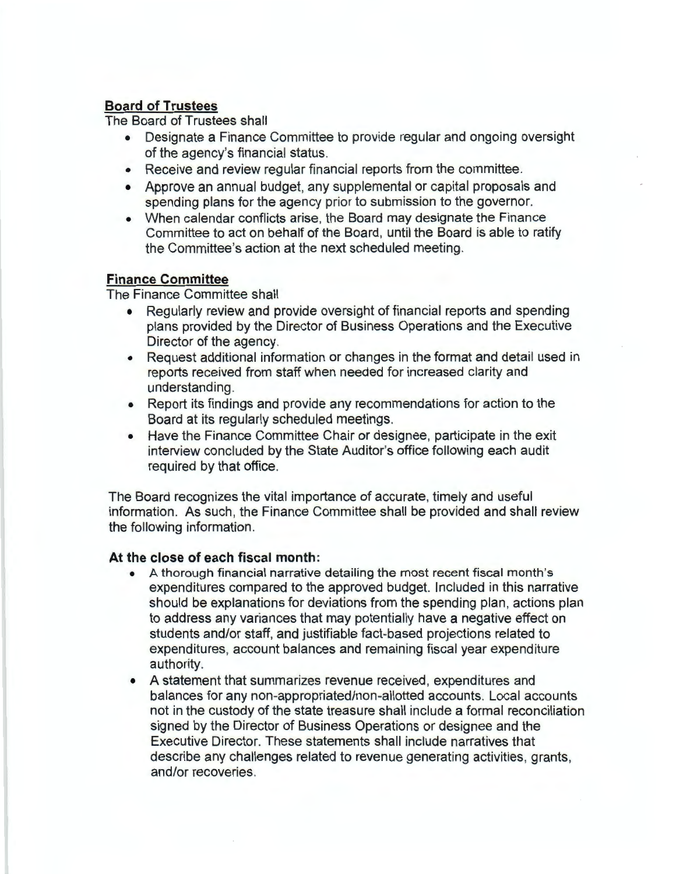# **Board of Trustees**

The Board of Trustees shall

- Designate a Finance Committee to provide regular and ongoing oversight of the agency's financial status.
- Receive and review regular financial reports from the committee.
- Approve an annual budget, any supplemental or capital proposals and spending plans for the agency prior to submission to the governor.
- When calendar conflicts arise, the Board may designate the Finance Committee to act on behalf of the Board, until the Board is able to ratify the Committee's action at the next scheduled meeting.

## **Finance Committee**

The Finance Committee shall

- Regularly review and provide oversight of financial reports and spending plans provided by the Director of Business Operations and the Executive Director of the agency.
- Request additional information or changes in the format and detail used in reports received from staff when needed for increased clarity and understanding.
- Report its findings and provide any recommendations for action to the Board at its regularly scheduled meetings.
- Have the Finance Committee Chair or designee, participate in the exit interview concluded by the State Auditor's office following each audit required by that office.

The Board recognizes the vital importance of accurate, timely and useful information. As such, the Finance Committee shall be provided and shall review the following information.

## **At the close of each fiscal month:**

- A thorough financial narrative detailing the most recent fiscal month's expenditures compared to the approved budget. Included in this narrative should be explanations for deviations from the spending plan, actions plan to address any variances that may potentially have a negative effect on students and/or staff, and justifiable fact-based projections related to expenditures, account balances and remaining fiscal year expenditure authority.
- A statement that summarizes revenue received, expenditures and balances for any non-appropriated/non-allotted accounts. Local accounts not in the custody of the state treasure shall include a formal reconciliation signed by the Director of Business Operations or designee and the Executive Director. These statements shall include narratives that describe any challenges related to revenue generating activities, grants, and/or recoveries.